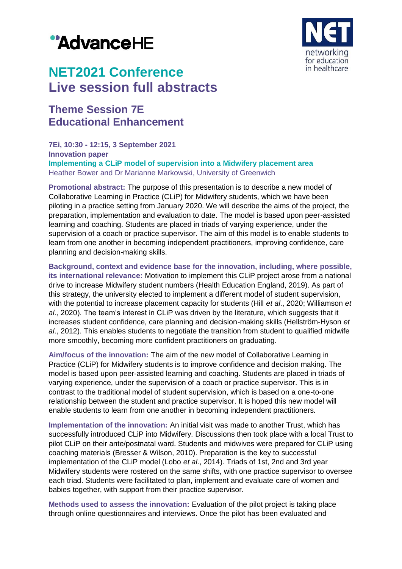# "AdvanceHE



## **NET2021 Conference Live session full abstracts**

### **Theme Session 7E Educational Enhancement**

**7Ei, 10:30 - 12:15, 3 September 2021 Innovation paper Implementing a CLiP model of supervision into a Midwifery placement area** Heather Bower and Dr Marianne Markowski, University of Greenwich

**Promotional abstract:** The purpose of this presentation is to describe a new model of Collaborative Learning in Practice (CLiP) for Midwifery students, which we have been piloting in a practice setting from January 2020. We will describe the aims of the project, the preparation, implementation and evaluation to date. The model is based upon peer-assisted learning and coaching. Students are placed in triads of varying experience, under the supervision of a coach or practice supervisor. The aim of this model is to enable students to learn from one another in becoming independent practitioners, improving confidence, care planning and decision-making skills.

**Background, context and evidence base for the innovation, including, where possible, its international relevance:** Motivation to implement this CLiP project arose from a national drive to increase Midwifery student numbers (Health Education England, 2019). As part of this strategy, the university elected to implement a different model of student supervision, with the potential to increase placement capacity for students (Hill *et al*., 2020; Williamson *et al*., 2020). The team's interest in CLiP was driven by the literature, which suggests that it increases student confidence, care planning and decision-making skills (Hellström-Hyson *et al*., 2012). This enables students to negotiate the transition from student to qualified midwife more smoothly, becoming more confident practitioners on graduating.

**Aim/focus of the innovation:** The aim of the new model of Collaborative Learning in Practice (CLiP) for Midwifery students is to improve confidence and decision making. The model is based upon peer-assisted learning and coaching. Students are placed in triads of varying experience, under the supervision of a coach or practice supervisor. This is in contrast to the traditional model of student supervision, which is based on a one-to-one relationship between the student and practice supervisor. It is hoped this new model will enable students to learn from one another in becoming independent practitioners.

**Implementation of the innovation:** An initial visit was made to another Trust, which has successfully introduced CLiP into Midwifery. Discussions then took place with a local Trust to pilot CLiP on their ante/postnatal ward. Students and midwives were prepared for CLiP using coaching materials (Bresser & Wilson, 2010). Preparation is the key to successful implementation of the CLiP model (Lobo *et al*., 2014). Triads of 1st, 2nd and 3rd year Midwifery students were rostered on the same shifts, with one practice supervisor to oversee each triad. Students were facilitated to plan, implement and evaluate care of women and babies together, with support from their practice supervisor.

**Methods used to assess the innovation:** Evaluation of the pilot project is taking place through online questionnaires and interviews. Once the pilot has been evaluated and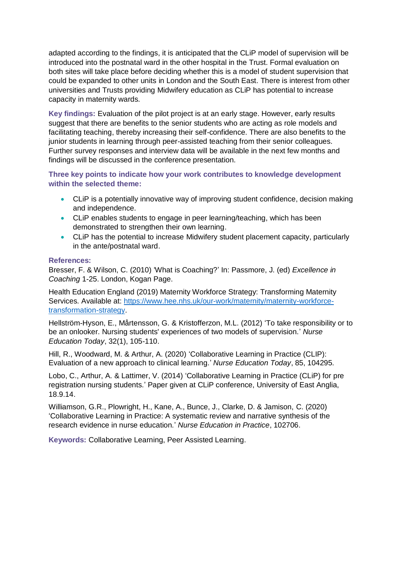adapted according to the findings, it is anticipated that the CLiP model of supervision will be introduced into the postnatal ward in the other hospital in the Trust. Formal evaluation on both sites will take place before deciding whether this is a model of student supervision that could be expanded to other units in London and the South East. There is interest from other universities and Trusts providing Midwifery education as CLiP has potential to increase capacity in maternity wards.

**Key findings:** Evaluation of the pilot project is at an early stage. However, early results suggest that there are benefits to the senior students who are acting as role models and facilitating teaching, thereby increasing their self-confidence. There are also benefits to the junior students in learning through peer-assisted teaching from their senior colleagues. Further survey responses and interview data will be available in the next few months and findings will be discussed in the conference presentation.

**Three key points to indicate how your work contributes to knowledge development within the selected theme:**

- CLiP is a potentially innovative way of improving student confidence, decision making and independence.
- CLiP enables students to engage in peer learning/teaching, which has been demonstrated to strengthen their own learning.
- CLiP has the potential to increase Midwifery student placement capacity, particularly in the ante/postnatal ward.

#### **References:**

Bresser, F. & Wilson, C. (2010) 'What is Coaching?' In: Passmore, J. (ed) *Excellence in Coaching* 1-25. London, Kogan Page.

Health Education England (2019) Maternity Workforce Strategy: Transforming Maternity Services. Available at: [https://www.hee.nhs.uk/our-work/maternity/maternity-workforce](https://www.hee.nhs.uk/our-work/maternity/maternity-workforce-transformation-strategy)[transformation-strategy.](https://www.hee.nhs.uk/our-work/maternity/maternity-workforce-transformation-strategy)

Hellström-Hyson, E., Mårtensson, G. & Kristofferzon, M.L. (2012) 'To take responsibility or to be an onlooker. Nursing students' experiences of two models of supervision.' *Nurse Education Today*, 32(1), 105-110.

Hill, R., Woodward, M. & Arthur, A. (2020) 'Collaborative Learning in Practice (CLIP): Evaluation of a new approach to clinical learning.' *Nurse Education Today*, 85, 104295.

Lobo, C., Arthur, A. & Lattimer, V. (2014) 'Collaborative Learning in Practice (CLiP) for pre registration nursing students.' Paper given at CLiP conference, University of East Anglia, 18.9.14.

Williamson, G.R., Plowright, H., Kane, A., Bunce, J., Clarke, D. & Jamison, C. (2020) 'Collaborative Learning in Practice: A systematic review and narrative synthesis of the research evidence in nurse education.' *Nurse Education in Practice*, 102706.

**Keywords:** Collaborative Learning, Peer Assisted Learning.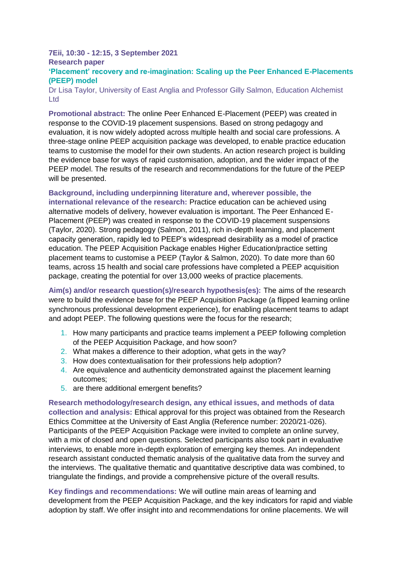#### **7Eii, 10:30 - 12:15, 3 September 2021 Research paper**

#### **'Placement' recovery and re-imagination: Scaling up the Peer Enhanced E-Placements (PEEP) model**

Dr Lisa Taylor, University of East Anglia and Professor Gilly Salmon, Education Alchemist Ltd

**Promotional abstract:** The online Peer Enhanced E-Placement (PEEP) was created in response to the COVID-19 placement suspensions. Based on strong pedagogy and evaluation, it is now widely adopted across multiple health and social care professions. A three-stage online PEEP acquisition package was developed, to enable practice education teams to customise the model for their own students. An action research project is building the evidence base for ways of rapid customisation, adoption, and the wider impact of the PEEP model. The results of the research and recommendations for the future of the PEEP will be presented.

**Background, including underpinning literature and, wherever possible, the international relevance of the research:** Practice education can be achieved using alternative models of delivery, however evaluation is important. The Peer Enhanced E-Placement (PEEP) was created in response to the COVID-19 placement suspensions (Taylor, 2020). Strong pedagogy (Salmon, 2011), rich in-depth learning, and placement capacity generation, rapidly led to PEEP's widespread desirability as a model of practice education. The PEEP Acquisition Package enables Higher Education/practice setting placement teams to customise a PEEP (Taylor & Salmon, 2020). To date more than 60 teams, across 15 health and social care professions have completed a PEEP acquisition package, creating the potential for over 13,000 weeks of practice placements.

**Aim(s) and/or research question(s)/research hypothesis(es):** The aims of the research were to build the evidence base for the PEEP Acquisition Package (a flipped learning online synchronous professional development experience), for enabling placement teams to adapt and adopt PEEP. The following questions were the focus for the research;

- 1. How many participants and practice teams implement a PEEP following completion of the PEEP Acquisition Package, and how soon?
- 2. What makes a difference to their adoption, what gets in the way?
- 3. How does contextualisation for their professions help adoption?
- 4. Are equivalence and authenticity demonstrated against the placement learning outcomes;
- 5. are there additional emergent benefits?

**Research methodology/research design, any ethical issues, and methods of data collection and analysis:** Ethical approval for this project was obtained from the Research Ethics Committee at the University of East Anglia (Reference number: 2020/21-026). Participants of the PEEP Acquisition Package were invited to complete an online survey, with a mix of closed and open questions. Selected participants also took part in evaluative interviews, to enable more in-depth exploration of emerging key themes. An independent research assistant conducted thematic analysis of the qualitative data from the survey and the interviews. The qualitative thematic and quantitative descriptive data was combined, to triangulate the findings, and provide a comprehensive picture of the overall results.

**Key findings and recommendations:** We will outline main areas of learning and development from the PEEP Acquisition Package, and the key indicators for rapid and viable adoption by staff. We offer insight into and recommendations for online placements. We will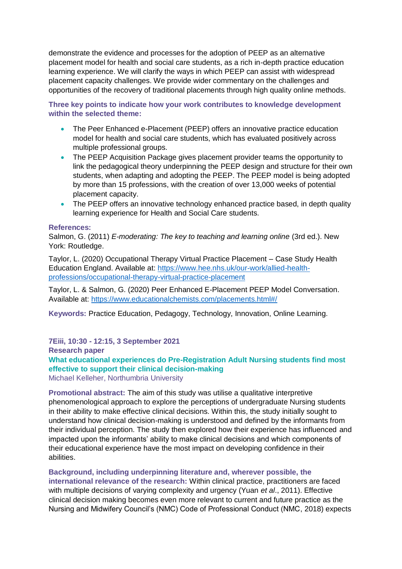demonstrate the evidence and processes for the adoption of PEEP as an alternative placement model for health and social care students, as a rich in-depth practice education learning experience. We will clarify the ways in which PEEP can assist with widespread placement capacity challenges. We provide wider commentary on the challenges and opportunities of the recovery of traditional placements through high quality online methods.

**Three key points to indicate how your work contributes to knowledge development within the selected theme:**

- The Peer Enhanced e-Placement (PEEP) offers an innovative practice education model for health and social care students, which has evaluated positively across multiple professional groups.
- The PEEP Acquisition Package gives placement provider teams the opportunity to link the pedagogical theory underpinning the PEEP design and structure for their own students, when adapting and adopting the PEEP. The PEEP model is being adopted by more than 15 professions, with the creation of over 13,000 weeks of potential placement capacity.
- The PEEP offers an innovative technology enhanced practice based, in depth quality learning experience for Health and Social Care students.

#### **References:**

Salmon, G. (2011) *E-moderating: The key to teaching and learning online* (3rd ed.). New York: Routledge.

Taylor, L. (2020) Occupational Therapy Virtual Practice Placement – Case Study Health Education England. Available at: [https://www.hee.nhs.uk/our-work/allied-health](https://www.hee.nhs.uk/our-work/allied-health-professions/occupational-therapy-virtual-practice-placement)[professions/occupational-therapy-virtual-practice-placement](https://www.hee.nhs.uk/our-work/allied-health-professions/occupational-therapy-virtual-practice-placement)

Taylor, L. & Salmon, G. (2020) Peer Enhanced E-Placement PEEP Model Conversation. Available at:<https://www.educationalchemists.com/placements.html#/>

**Keywords:** Practice Education, Pedagogy, Technology, Innovation, Online Learning.

**7Eiii, 10:30 - 12:15, 3 September 2021 Research paper What educational experiences do Pre-Registration Adult Nursing students find most effective to support their clinical decision-making**

Michael Kelleher, Northumbria University

**Promotional abstract:** The aim of this study was utilise a qualitative interpretive phenomenological approach to explore the perceptions of undergraduate Nursing students in their ability to make effective clinical decisions. Within this, the study initially sought to understand how clinical decision-making is understood and defined by the informants from their individual perception. The study then explored how their experience has influenced and impacted upon the informants' ability to make clinical decisions and which components of their educational experience have the most impact on developing confidence in their abilities.

**Background, including underpinning literature and, wherever possible, the international relevance of the research:** Within clinical practice, practitioners are faced with multiple decisions of varying complexity and urgency (Yuan *et al*., 2011). Effective clinical decision making becomes even more relevant to current and future practice as the Nursing and Midwifery Council's (NMC) Code of Professional Conduct (NMC, 2018) expects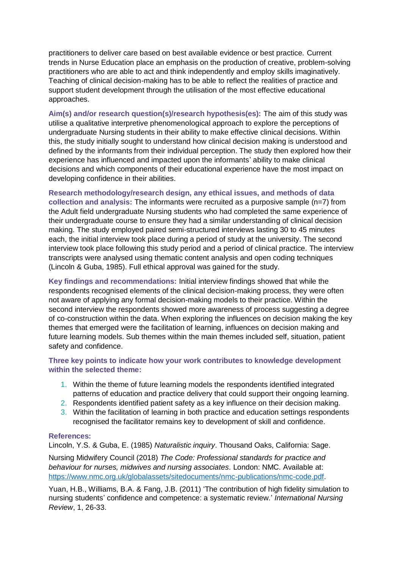practitioners to deliver care based on best available evidence or best practice. Current trends in Nurse Education place an emphasis on the production of creative, problem-solving practitioners who are able to act and think independently and employ skills imaginatively. Teaching of clinical decision-making has to be able to reflect the realities of practice and support student development through the utilisation of the most effective educational approaches.

**Aim(s) and/or research question(s)/research hypothesis(es):** The aim of this study was utilise a qualitative interpretive phenomenological approach to explore the perceptions of undergraduate Nursing students in their ability to make effective clinical decisions. Within this, the study initially sought to understand how clinical decision making is understood and defined by the informants from their individual perception. The study then explored how their experience has influenced and impacted upon the informants' ability to make clinical decisions and which components of their educational experience have the most impact on developing confidence in their abilities.

**Research methodology/research design, any ethical issues, and methods of data collection and analysis:** The informants were recruited as a purposive sample (n=7) from the Adult field undergraduate Nursing students who had completed the same experience of their undergraduate course to ensure they had a similar understanding of clinical decision making. The study employed paired semi-structured interviews lasting 30 to 45 minutes each, the initial interview took place during a period of study at the university. The second interview took place following this study period and a period of clinical practice. The interview transcripts were analysed using thematic content analysis and open coding techniques (Lincoln & Guba, 1985). Full ethical approval was gained for the study.

**Key findings and recommendations:** Initial interview findings showed that while the respondents recognised elements of the clinical decision-making process, they were often not aware of applying any formal decision-making models to their practice. Within the second interview the respondents showed more awareness of process suggesting a degree of co-construction within the data. When exploring the influences on decision making the key themes that emerged were the facilitation of learning, influences on decision making and future learning models. Sub themes within the main themes included self, situation, patient safety and confidence.

#### **Three key points to indicate how your work contributes to knowledge development within the selected theme:**

- 1. Within the theme of future learning models the respondents identified integrated patterns of education and practice delivery that could support their ongoing learning.
- 2. Respondents identified patient safety as a key influence on their decision making.
- 3. Within the facilitation of learning in both practice and education settings respondents recognised the facilitator remains key to development of skill and confidence.

#### **References:**

Lincoln, Y.S. & Guba, E. (1985) *Naturalistic inquiry*. Thousand Oaks, California: Sage.

Nursing Midwifery Council (2018) *The Code: Professional standards for practice and behaviour for nurses, midwives and nursing associates.* London: NMC. Available at: [https://www.nmc.org.uk/globalassets/sitedocuments/nmc-publications/nmc-code.pdf.](https://www.nmc.org.uk/globalassets/sitedocuments/nmc-publications/nmc-code.pdf)

Yuan, H.B., Williams, B.A. & Fang, J.B. (2011) 'The contribution of high fidelity simulation to nursing students' confidence and competence: a systematic review.' *International Nursing Review*, 1, 26-33.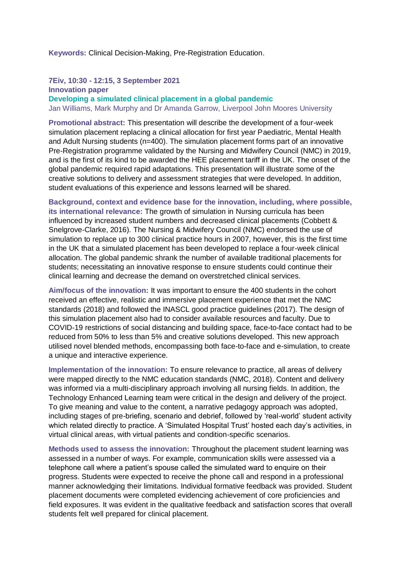**Keywords:** Clinical Decision-Making, Pre-Registration Education.

#### **7Eiv, 10:30 - 12:15, 3 September 2021 Innovation paper**

**Developing a simulated clinical placement in a global pandemic** Jan Williams, Mark Murphy and Dr Amanda Garrow, Liverpool John Moores University

**Promotional abstract:** This presentation will describe the development of a four-week simulation placement replacing a clinical allocation for first year Paediatric, Mental Health and Adult Nursing students (n=400). The simulation placement forms part of an innovative Pre-Registration programme validated by the Nursing and Midwifery Council (NMC) in 2019, and is the first of its kind to be awarded the HEE placement tariff in the UK. The onset of the global pandemic required rapid adaptations. This presentation will illustrate some of the creative solutions to delivery and assessment strategies that were developed. In addition, student evaluations of this experience and lessons learned will be shared.

**Background, context and evidence base for the innovation, including, where possible, its international relevance:** The growth of simulation in Nursing curricula has been influenced by increased student numbers and decreased clinical placements (Cobbett & Snelgrove-Clarke, 2016). The Nursing & Midwifery Council (NMC) endorsed the use of simulation to replace up to 300 clinical practice hours in 2007, however, this is the first time in the UK that a simulated placement has been developed to replace a four-week clinical allocation. The global pandemic shrank the number of available traditional placements for students; necessitating an innovative response to ensure students could continue their clinical learning and decrease the demand on overstretched clinical services.

**Aim/focus of the innovation:** It was important to ensure the 400 students in the cohort received an effective, realistic and immersive placement experience that met the NMC standards (2018) and followed the INASCL good practice guidelines (2017). The design of this simulation placement also had to consider available resources and faculty. Due to COVID-19 restrictions of social distancing and building space, face-to-face contact had to be reduced from 50% to less than 5% and creative solutions developed. This new approach utilised novel blended methods, encompassing both face-to-face and e-simulation, to create a unique and interactive experience.

**Implementation of the innovation:** To ensure relevance to practice, all areas of delivery were mapped directly to the NMC education standards (NMC, 2018). Content and delivery was informed via a multi-disciplinary approach involving all nursing fields. In addition, the Technology Enhanced Learning team were critical in the design and delivery of the project. To give meaning and value to the content, a narrative pedagogy approach was adopted, including stages of pre-briefing, scenario and debrief, followed by 'real-world' student activity which related directly to practice. A 'Simulated Hospital Trust' hosted each day's activities, in virtual clinical areas, with virtual patients and condition-specific scenarios.

**Methods used to assess the innovation:** Throughout the placement student learning was assessed in a number of ways. For example, communication skills were assessed via a telephone call where a patient's spouse called the simulated ward to enquire on their progress. Students were expected to receive the phone call and respond in a professional manner acknowledging their limitations. Individual formative feedback was provided. Student placement documents were completed evidencing achievement of core proficiencies and field exposures. It was evident in the qualitative feedback and satisfaction scores that overall students felt well prepared for clinical placement.